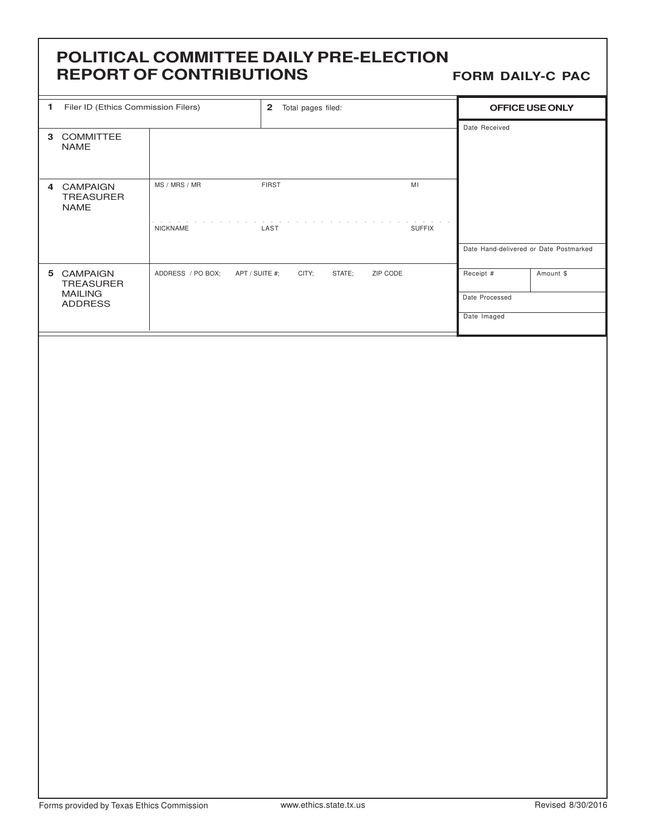# **POLITICAL COMMITTEE DAILY PRE-ELECTION REPORT OF CONTRIBUTIONS**

**FORM DAILY-C PAC**

| <b>DEFUNTURE CONTINIBUTIONS</b> |                                                             |                                                     |                             |                     | <b>FURIN DAILT-C PAC</b>                   |                 |
|---------------------------------|-------------------------------------------------------------|-----------------------------------------------------|-----------------------------|---------------------|--------------------------------------------|-----------------|
| 1                               | Filer ID (Ethics Commission Filers)                         |                                                     | 2 Total pages filed:        |                     |                                            | OFFICE USE ONLY |
|                                 | 3 COMMITTEE<br>NAME                                         |                                                     |                             |                     | Date Received                              |                 |
|                                 | 4 CAMPAIGN<br>TREASURER<br><b>NAME</b>                      | MS / MRS / MR<br><b>Service Control</b><br>NICKNAME | <b>FIRST</b><br>LAST        | MI<br><b>SUFFIX</b> | Date Hand-delivered or Date Postmarked     |                 |
|                                 | 5 CAMPAIGN<br>TREASURER<br><b>MAILING</b><br><b>ADDRESS</b> | ADDRESS / PO BOX;<br>APT / SUITE #;                 | ZIP CODE<br>CITY;<br>STATE; |                     | Receipt #<br>Date Processed<br>Date Imaged | Amount \$       |
|                                 |                                                             |                                                     |                             |                     |                                            |                 |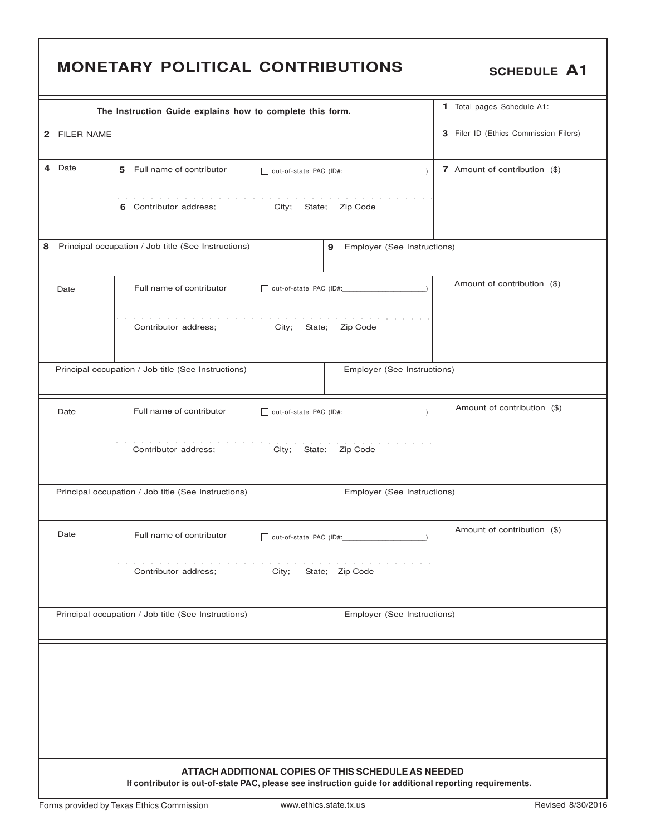# SCHEDULE A1

|              | The Instruction Guide explains how to complete this form.                                                                                                      | 1 Total pages Schedule A1:  |                                       |  |  |  |  |  |
|--------------|----------------------------------------------------------------------------------------------------------------------------------------------------------------|-----------------------------|---------------------------------------|--|--|--|--|--|
| 2 FILER NAME |                                                                                                                                                                |                             | 3 Filer ID (Ethics Commission Filers) |  |  |  |  |  |
| 4 Date       | 5 Full name of contributor                                                                                                                                     |                             | 7 Amount of contribution (\$)         |  |  |  |  |  |
|              | the contract of the contract of the<br>6 Contributor address;<br>City; State; Zip Code                                                                         |                             |                                       |  |  |  |  |  |
| 8            | Principal occupation / Job title (See Instructions)<br>9                                                                                                       | Employer (See Instructions) |                                       |  |  |  |  |  |
| Date         | Full name of contributor                                                                                                                                       |                             | Amount of contribution (\$)           |  |  |  |  |  |
|              | the companies of the companies of the companies of the<br>Contributor address;<br>City; State; Zip Code                                                        |                             |                                       |  |  |  |  |  |
|              | Principal occupation / Job title (See Instructions)                                                                                                            | Employer (See Instructions) |                                       |  |  |  |  |  |
| Date         | Full name of contributor                                                                                                                                       | out-of-state PAC (ID#:      | Amount of contribution (\$)           |  |  |  |  |  |
|              | Contributor address;<br>City; State; Zip Code                                                                                                                  |                             |                                       |  |  |  |  |  |
|              | Principal occupation / Job title (See Instructions)                                                                                                            | Employer (See Instructions) |                                       |  |  |  |  |  |
| Date         | Full name of contributor<br>out-of-state PAC (ID#:                                                                                                             |                             | Amount of contribution (\$)           |  |  |  |  |  |
|              | Contributor address;<br>City;                                                                                                                                  | State; Zip Code             |                                       |  |  |  |  |  |
|              | Principal occupation / Job title (See Instructions)                                                                                                            | Employer (See Instructions) |                                       |  |  |  |  |  |
|              |                                                                                                                                                                |                             |                                       |  |  |  |  |  |
|              |                                                                                                                                                                |                             |                                       |  |  |  |  |  |
|              | ATTACH ADDITIONAL COPIES OF THIS SCHEDULE AS NEEDED<br>If contributor is out-of-state PAC, please see instruction guide for additional reporting requirements. |                             |                                       |  |  |  |  |  |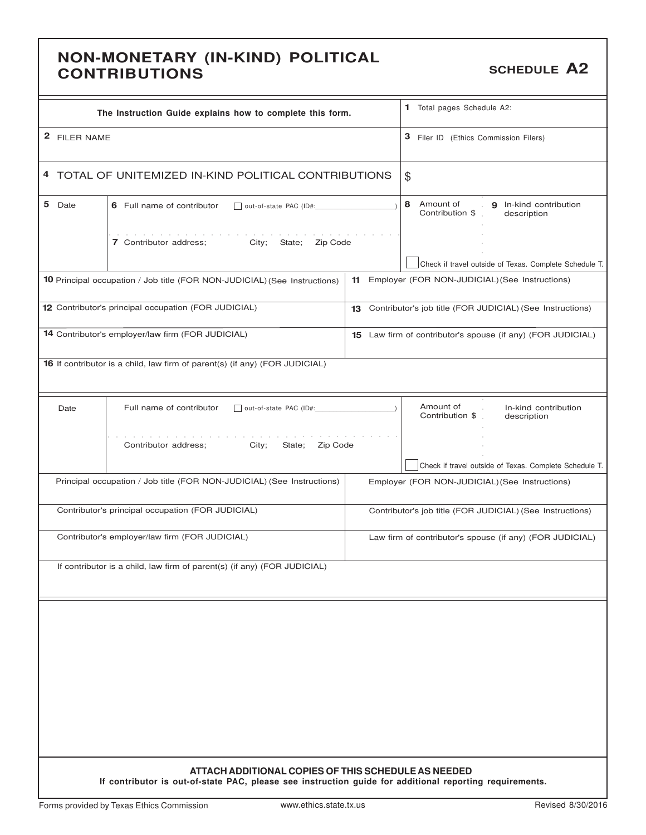## **NON-MONETARY (IN-KIND) POLITICAL CONTRIBUTIONS CONTRIBUTIONS**

| The Instruction Guide explains how to complete this form.                                                                                                      |                                       | 1 Total pages Schedule A2:                                          |  |  |  |
|----------------------------------------------------------------------------------------------------------------------------------------------------------------|---------------------------------------|---------------------------------------------------------------------|--|--|--|
| 2 FILER NAME                                                                                                                                                   | 3 Filer ID (Ethics Commission Filers) |                                                                     |  |  |  |
| 4 TOTAL OF UNITEMIZED IN-KIND POLITICAL CONTRIBUTIONS                                                                                                          | $\frac{1}{2}$                         |                                                                     |  |  |  |
| 5 Date<br>6 Full name of contributor                                                                                                                           | out-of-state PAC (ID#:                |                                                                     |  |  |  |
| 7 Contributor address;<br>City; State; Zip Code                                                                                                                |                                       |                                                                     |  |  |  |
|                                                                                                                                                                |                                       | Check if travel outside of Texas. Complete Schedule T.              |  |  |  |
| <b>10</b> Principal occupation / Job title (FOR NON-JUDICIAL) (See Instructions)                                                                               | 11                                    | Employer (FOR NON-JUDICIAL) (See Instructions)                      |  |  |  |
| 12 Contributor's principal occupation (FOR JUDICIAL)                                                                                                           |                                       | 13 Contributor's job title (FOR JUDICIAL) (See Instructions)        |  |  |  |
| 14 Contributor's employer/law firm (FOR JUDICIAL)                                                                                                              |                                       | 15 Law firm of contributor's spouse (if any) (FOR JUDICIAL)         |  |  |  |
| 16 If contributor is a child, law firm of parent(s) (if any) (FOR JUDICIAL)                                                                                    |                                       |                                                                     |  |  |  |
| Full name of contributor<br>Date<br>out-of-state PAC (ID#:                                                                                                     |                                       | Amount of<br>In-kind contribution<br>Contribution \$<br>description |  |  |  |
| Contributor address;<br>City;<br>State; Zip Code                                                                                                               |                                       |                                                                     |  |  |  |
|                                                                                                                                                                |                                       | Check if travel outside of Texas. Complete Schedule T.              |  |  |  |
| Principal occupation / Job title (FOR NON-JUDICIAL) (See Instructions)                                                                                         |                                       | Employer (FOR NON-JUDICIAL) (See Instructions)                      |  |  |  |
| Contributor's principal occupation (FOR JUDICIAL)                                                                                                              |                                       | Contributor's job title (FOR JUDICIAL) (See Instructions)           |  |  |  |
| Contributor's employer/law firm (FOR JUDICIAL)                                                                                                                 |                                       | Law firm of contributor's spouse (if any) (FOR JUDICIAL)            |  |  |  |
| If contributor is a child, law firm of parent(s) (if any) (FOR JUDICIAL)                                                                                       |                                       |                                                                     |  |  |  |
|                                                                                                                                                                |                                       |                                                                     |  |  |  |
|                                                                                                                                                                |                                       |                                                                     |  |  |  |
|                                                                                                                                                                |                                       |                                                                     |  |  |  |
|                                                                                                                                                                |                                       |                                                                     |  |  |  |
|                                                                                                                                                                |                                       |                                                                     |  |  |  |
|                                                                                                                                                                |                                       |                                                                     |  |  |  |
| ATTACH ADDITIONAL COPIES OF THIS SCHEDULE AS NEEDED<br>If contributor is out-of-state PAC, please see instruction guide for additional reporting requirements. |                                       |                                                                     |  |  |  |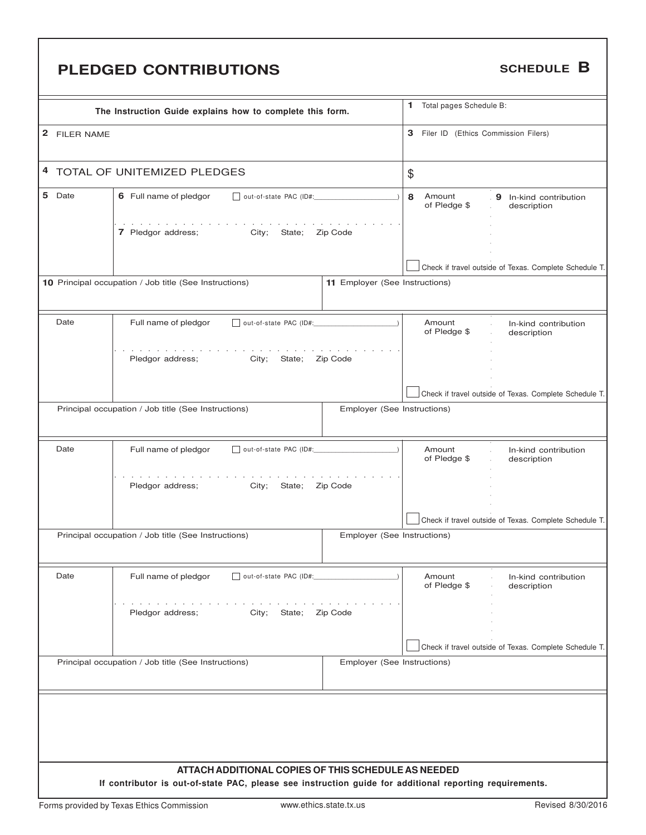# **PLEDGED CONTRIBUTIONS** SCHEDULE **B**

|              | The Instruction Guide explains how to complete this form.                                                                                                      |                                | 1 Total pages Schedule B:             |                                                        |
|--------------|----------------------------------------------------------------------------------------------------------------------------------------------------------------|--------------------------------|---------------------------------------|--------------------------------------------------------|
| 2 FILER NAME |                                                                                                                                                                |                                | 3 Filer ID (Ethics Commission Filers) |                                                        |
|              | 4 TOTAL OF UNITEMIZED PLEDGES                                                                                                                                  | \$                             |                                       |                                                        |
| 5 Date       | 6 Full name of pledgor<br>out-of-state PAC (ID#:                                                                                                               |                                | 8<br>Amount<br>of Pledge \$           | 9 In-kind contribution<br>description                  |
|              | design and a state of the state of the state<br>7 Pledgor address; City;<br>State;                                                                             | Zip Code                       |                                       |                                                        |
|              |                                                                                                                                                                |                                |                                       | Check if travel outside of Texas. Complete Schedule T. |
|              | 10 Principal occupation / Job title (See Instructions)                                                                                                         | 11 Employer (See Instructions) |                                       |                                                        |
| Date         | Full name of pledgor<br>out-of-state PAC (ID#:                                                                                                                 |                                | Amount<br>of Pledge \$                | In-kind contribution<br>description                    |
|              | City;<br>Pledgor address;<br>State;                                                                                                                            | Zip Code                       |                                       |                                                        |
|              |                                                                                                                                                                |                                |                                       | Check if travel outside of Texas. Complete Schedule T. |
|              | Principal occupation / Job title (See Instructions)                                                                                                            | Employer (See Instructions)    |                                       |                                                        |
| Date         | Full name of pledgor<br>out-of-state PAC (ID#:                                                                                                                 |                                | Amount<br>of Pledge \$                | In-kind contribution<br>description                    |
|              | City;<br>Pledgor address;<br>State;                                                                                                                            | Zip Code                       |                                       |                                                        |
|              |                                                                                                                                                                |                                |                                       | Check if travel outside of Texas. Complete Schedule T. |
|              | Principal occupation / Job title (See Instructions)                                                                                                            | Employer (See Instructions)    |                                       |                                                        |
| Date         | Full name of pledgor<br>out-of-state PAC (ID#:                                                                                                                 |                                | Amount<br>of Pledge \$                | In-kind contribution<br>description                    |
|              | Pledgor address;<br>State;<br>City;                                                                                                                            | Zip Code                       |                                       |                                                        |
|              |                                                                                                                                                                |                                |                                       | Check if travel outside of Texas. Complete Schedule T. |
|              | Principal occupation / Job title (See Instructions)                                                                                                            | Employer (See Instructions)    |                                       |                                                        |
|              |                                                                                                                                                                |                                |                                       |                                                        |
|              |                                                                                                                                                                |                                |                                       |                                                        |
|              |                                                                                                                                                                |                                |                                       |                                                        |
|              | ATTACH ADDITIONAL COPIES OF THIS SCHEDULE AS NEEDED<br>If contributor is out-of-state PAC, please see instruction guide for additional reporting requirements. |                                |                                       |                                                        |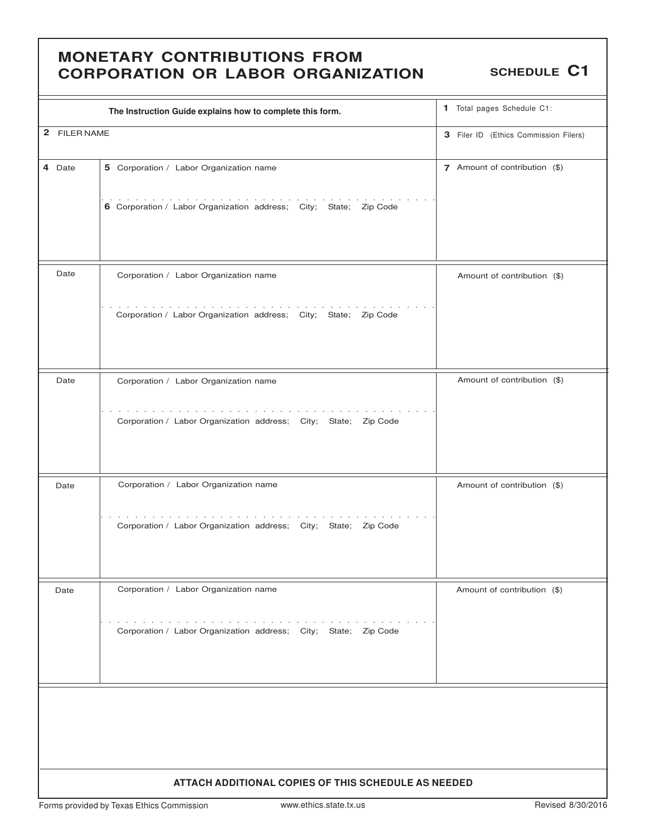### **MONETARY CONTRIBUTIONS FROM CORPORATION OR LABOR ORGANIZATION** SCHEDULE C1

|              | The Instruction Guide explains how to complete this form.                                                                          | 1 Total pages Schedule C1:            |  |  |
|--------------|------------------------------------------------------------------------------------------------------------------------------------|---------------------------------------|--|--|
| 2 FILER NAME |                                                                                                                                    | 3 Filer ID (Ethics Commission Filers) |  |  |
| 4 Date       | 5 Corporation / Labor Organization name                                                                                            | 7 Amount of contribution (\$)         |  |  |
|              | the contract of the contract of the con-<br>6 Corporation / Labor Organization address; City; State; Zip Code                      |                                       |  |  |
| Date         | Corporation / Labor Organization name                                                                                              | Amount of contribution (\$)           |  |  |
|              | Corporation / Labor Organization address; City; State; Zip Code                                                                    |                                       |  |  |
| Date         | Corporation / Labor Organization name                                                                                              | Amount of contribution (\$)           |  |  |
|              | the contract of the contract of the contract of<br>Corporation / Labor Organization address; City; State; Zip Code                 |                                       |  |  |
| Date         | Corporation / Labor Organization name                                                                                              | Amount of contribution (\$)           |  |  |
|              | Corporation / Labor Organization address; City; State; Zip Code                                                                    |                                       |  |  |
| Date         | Corporation / Labor Organization name                                                                                              | Amount of contribution (\$)           |  |  |
|              | the contract of the contract of the contract of the contract of<br>Corporation / Labor Organization address; City; State; Zip Code |                                       |  |  |
|              |                                                                                                                                    |                                       |  |  |
|              |                                                                                                                                    |                                       |  |  |
|              |                                                                                                                                    |                                       |  |  |
|              | ATTACH ADDITIONAL COPIES OF THIS SCHEDULE AS NEEDED                                                                                |                                       |  |  |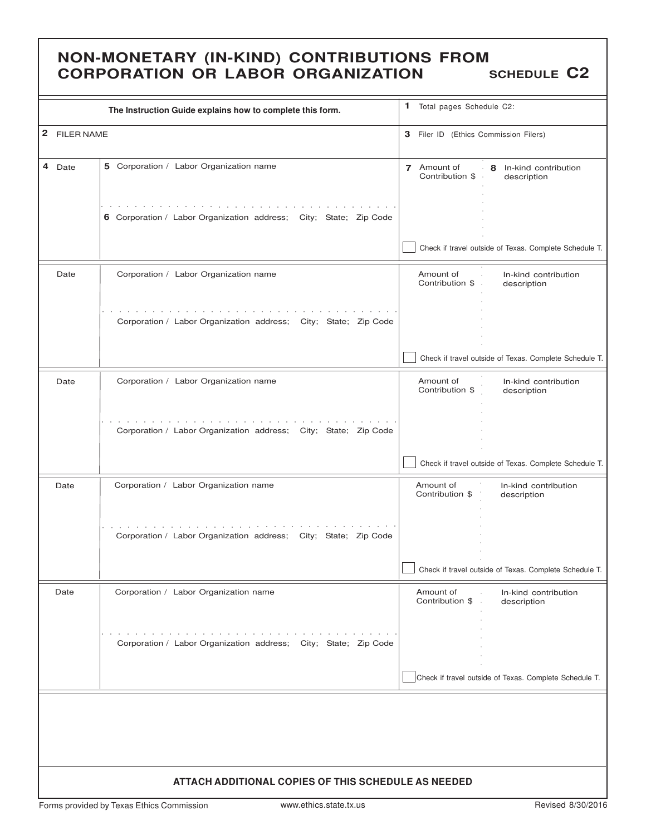## **NON-MONETARY (IN-KIND) CONTRIBUTIONS FROM CORPORATION OR LABOR ORGANIZATION SCHEDULE C2**

|              | The Instruction Guide explains how to complete this form.                                                                                                                                                                                                                                         | 1 Total pages Schedule C2:             |                                                            |
|--------------|---------------------------------------------------------------------------------------------------------------------------------------------------------------------------------------------------------------------------------------------------------------------------------------------------|----------------------------------------|------------------------------------------------------------|
| 2 FILER NAME |                                                                                                                                                                                                                                                                                                   | 3 Filer ID (Ethics Commission Filers)  |                                                            |
| 4 Date       | 5 Corporation / Labor Organization name                                                                                                                                                                                                                                                           | 7 Amount of<br>Contribution \$         | - 8 In-kind contribution<br>description                    |
|              | and the state of the state of the state of the state of the state of the state of the state of the state of the<br>6 Corporation / Labor Organization address; City; State; Zip Code                                                                                                              |                                        |                                                            |
|              |                                                                                                                                                                                                                                                                                                   |                                        | Check if travel outside of Texas. Complete Schedule T.     |
| Date         | Corporation / Labor Organization name                                                                                                                                                                                                                                                             | Amount of<br>Contribution \$           | In-kind contribution<br>description                        |
|              | the companies of the companies of the companies of the companies of the companies of the companies of the companies of the companies of the companies of the companies of the companies of the companies of the companies of t<br>Corporation / Labor Organization address; City; State; Zip Code |                                        |                                                            |
|              |                                                                                                                                                                                                                                                                                                   |                                        | Check if travel outside of Texas. Complete Schedule T.     |
| Date         | Corporation / Labor Organization name                                                                                                                                                                                                                                                             | Amount of<br>Contribution \$           | In-kind contribution<br>description                        |
|              | the company of the company of the<br>Corporation / Labor Organization address; City; State; Zip Code                                                                                                                                                                                              |                                        |                                                            |
|              |                                                                                                                                                                                                                                                                                                   |                                        | Check if travel outside of Texas. Complete Schedule T.     |
| Date         | Corporation / Labor Organization name                                                                                                                                                                                                                                                             | Amount of<br>Contribution \$           | In-kind contribution<br>description                        |
|              | the second contract of the second contract of the<br><b>Contractor</b><br>Corporation / Labor Organization address; City; State; Zip Code                                                                                                                                                         |                                        |                                                            |
|              |                                                                                                                                                                                                                                                                                                   |                                        | Check if travel outside of Texas. Complete Schedule T.     |
| Date         | Corporation / Labor Organization name                                                                                                                                                                                                                                                             | Amount of<br>Contribution \$<br>$\sim$ | In-kind contribution<br>$\mathcal{L}^{\pm}$<br>description |
|              | the second contract of the second contract of the second contract of the second<br>Corporation / Labor Organization address; City; State; Zip Code                                                                                                                                                |                                        |                                                            |
|              |                                                                                                                                                                                                                                                                                                   |                                        | Check if travel outside of Texas. Complete Schedule T.     |
|              |                                                                                                                                                                                                                                                                                                   |                                        |                                                            |
|              |                                                                                                                                                                                                                                                                                                   |                                        |                                                            |
|              | ATTACH ADDITIONAL COPIES OF THIS SCHEDULE AS NEEDED                                                                                                                                                                                                                                               |                                        |                                                            |

Forms provided by Texas Ethics Commission www.ethics.state.tx.us Revised 8/30/2016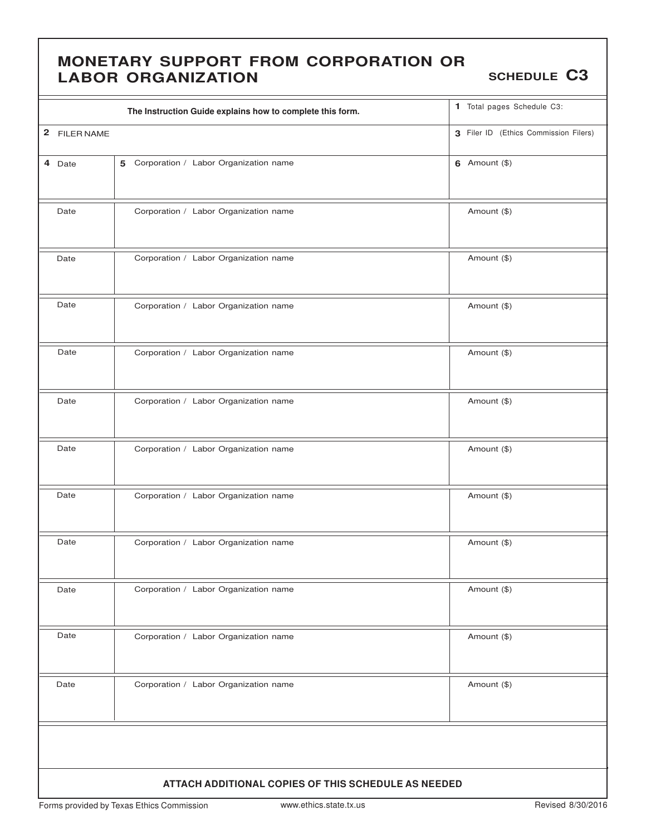### **MONETARY SUPPORT FROM CORPORATION OR LABOR ORGANIZATION SCHEDULE** C3

|                                                     | The Instruction Guide explains how to complete this form. |  | 1 Total pages Schedule C3:            |  |  |  |
|-----------------------------------------------------|-----------------------------------------------------------|--|---------------------------------------|--|--|--|
| 2 FILER NAME                                        |                                                           |  | 3 Filer ID (Ethics Commission Filers) |  |  |  |
| 4 Date                                              | 5 Corporation / Labor Organization name                   |  | 6 Amount $(\$)$                       |  |  |  |
| Date                                                | Corporation / Labor Organization name                     |  | Amount (\$)                           |  |  |  |
| Date                                                | Corporation / Labor Organization name                     |  | Amount (\$)                           |  |  |  |
| Date                                                | Corporation / Labor Organization name                     |  | Amount (\$)                           |  |  |  |
| Date                                                | Corporation / Labor Organization name                     |  | Amount (\$)                           |  |  |  |
| Date                                                | Corporation / Labor Organization name                     |  | Amount (\$)                           |  |  |  |
| Date                                                | Corporation / Labor Organization name                     |  | Amount (\$)                           |  |  |  |
| Date                                                | Corporation / Labor Organization name                     |  | Amount (\$)                           |  |  |  |
| Date                                                | Corporation / Labor Organization name                     |  | Amount (\$)                           |  |  |  |
| Date                                                | Corporation / Labor Organization name                     |  | Amount (\$)                           |  |  |  |
| Date                                                | Corporation / Labor Organization name                     |  | Amount (\$)                           |  |  |  |
| Date                                                | Corporation / Labor Organization name                     |  | Amount (\$)                           |  |  |  |
|                                                     |                                                           |  |                                       |  |  |  |
| ATTACH ADDITIONAL COPIES OF THIS SCHEDULE AS NEEDED |                                                           |  |                                       |  |  |  |

Forms provided by Texas Ethics Commission www.ethics.state.tx.us Revised 8/30/2016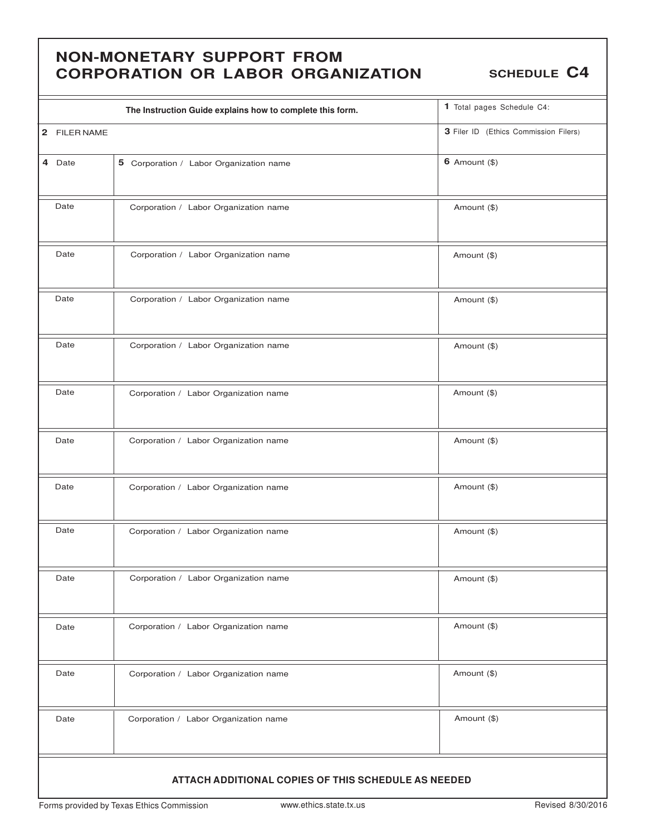## **NON-MONETARY SUPPORT FROM CORPORATION OR LABOR ORGANIZATION SCHEDULE** C4

|                                                     | The Instruction Guide explains how to complete this form. | 1 Total pages Schedule C4:            |  |  |  |  |
|-----------------------------------------------------|-----------------------------------------------------------|---------------------------------------|--|--|--|--|
| 2 FILER NAME                                        |                                                           | 3 Filer ID (Ethics Commission Filers) |  |  |  |  |
| 4 Date                                              | 5 Corporation / Labor Organization name                   | $6$ Amount $(\$)$                     |  |  |  |  |
| Date                                                | Corporation / Labor Organization name                     | Amount (\$)                           |  |  |  |  |
| Date                                                | Corporation / Labor Organization name                     | Amount (\$)                           |  |  |  |  |
| Date                                                | Corporation / Labor Organization name                     | Amount (\$)                           |  |  |  |  |
| Date                                                | Corporation / Labor Organization name                     | Amount (\$)                           |  |  |  |  |
| Date                                                | Corporation / Labor Organization name                     | Amount (\$)                           |  |  |  |  |
| Date                                                | Corporation / Labor Organization name                     | Amount (\$)                           |  |  |  |  |
| Date                                                | Corporation / Labor Organization name                     | Amount (\$)                           |  |  |  |  |
| Date                                                | Corporation / Labor Organization name                     | Amount (\$)                           |  |  |  |  |
| Date                                                | Corporation / Labor Organization name                     | Amount (\$)                           |  |  |  |  |
| Date                                                | Corporation / Labor Organization name                     | Amount (\$)                           |  |  |  |  |
| Date                                                | Corporation / Labor Organization name                     | Amount (\$)                           |  |  |  |  |
| Date                                                | Corporation / Labor Organization name                     | Amount (\$)                           |  |  |  |  |
| ATTACH ADDITIONAL COPIES OF THIS SCHEDULE AS NEEDED |                                                           |                                       |  |  |  |  |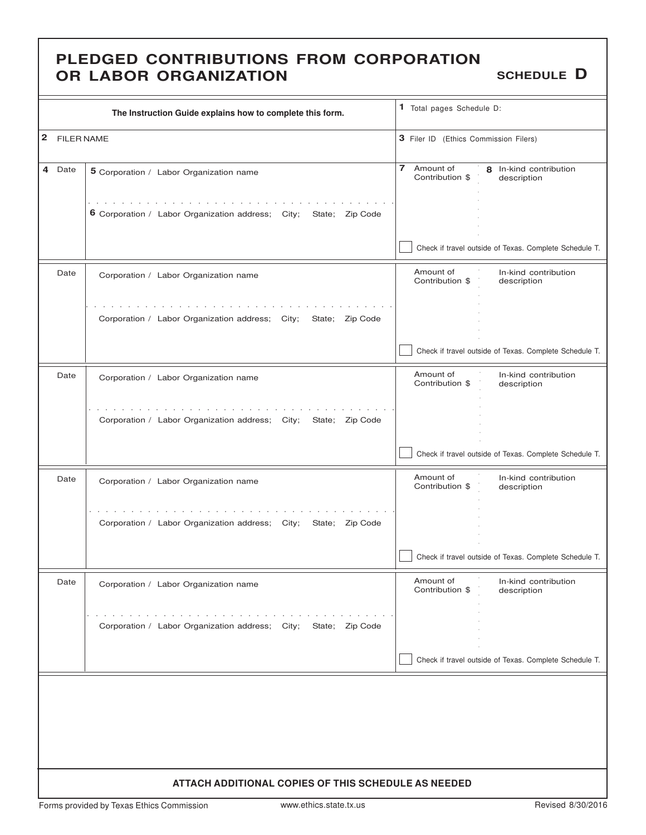### **PLEDGED CONTRIBUTIONS FROM CORPORATION OR LABOR ORGANIZATION** SCHEDULE **D**

|           | The Instruction Guide explains how to complete this form.                                                                  | 1 Total pages Schedule D:                                                               |
|-----------|----------------------------------------------------------------------------------------------------------------------------|-----------------------------------------------------------------------------------------|
| 2         | <b>FILER NAME</b>                                                                                                          | 3 Filer ID (Ethics Commission Filers)                                                   |
| 4<br>Date | 5 Corporation / Labor Organization name                                                                                    | $\overline{7}$<br>Amount of<br>8 In-kind contribution<br>Contribution \$<br>description |
|           | $\mathbf{r}$ . The state of the state $\mathbf{r}$<br>6 Corporation / Labor Organization address; City;<br>State: Zip Code |                                                                                         |
|           |                                                                                                                            | Check if travel outside of Texas. Complete Schedule T.                                  |
| Date      | Corporation / Labor Organization name                                                                                      | Amount of<br>In-kind contribution<br>Contribution \$<br>description                     |
|           | Corporation / Labor Organization address; City;<br>State; Zip Code                                                         |                                                                                         |
|           |                                                                                                                            | Check if travel outside of Texas. Complete Schedule T.                                  |
| Date      | Corporation / Labor Organization name                                                                                      | Amount of<br>In-kind contribution<br>Contribution \$<br>description                     |
|           | Corporation / Labor Organization address; City;<br>State; Zip Code                                                         |                                                                                         |
|           |                                                                                                                            | Check if travel outside of Texas. Complete Schedule T.                                  |
| Date      | Corporation / Labor Organization name                                                                                      | Amount of<br>In-kind contribution<br>Contribution \$<br>description                     |
|           | Corporation / Labor Organization address; City;<br>State; Zip Code                                                         |                                                                                         |
|           |                                                                                                                            | Check if travel outside of Texas. Complete Schedule T.                                  |
| Date      | Corporation / Labor Organization name                                                                                      | Amount of<br>In-kind contribution<br>Contribution \$<br>description                     |
|           | and the contract of the contract of the<br>Corporation / Labor Organization address; City;<br>State: Zip Code              |                                                                                         |
|           |                                                                                                                            | Check if travel outside of Texas. Complete Schedule T.                                  |
|           |                                                                                                                            |                                                                                         |
|           |                                                                                                                            |                                                                                         |
|           |                                                                                                                            |                                                                                         |
|           | ATTACH ADDITIONAL COPIES OF THIS SCHEDULE AS NEEDED                                                                        |                                                                                         |